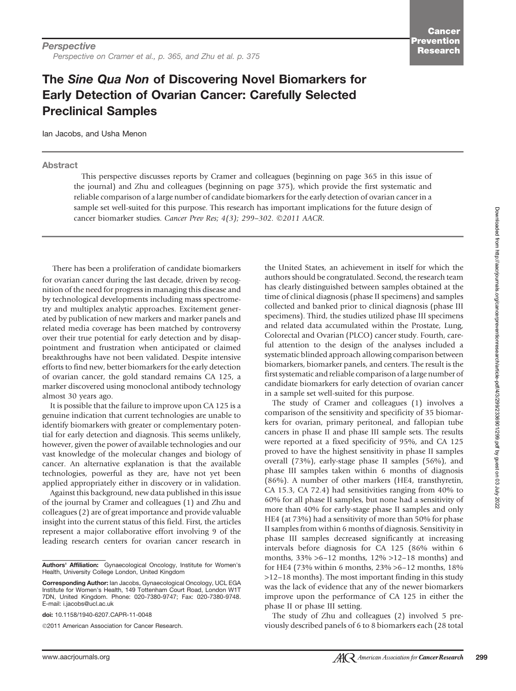## The Sine Qua Non of Discovering Novel Biomarkers for Early Detection of Ovarian Cancer: Carefully Selected Preclinical Samples

Ian Jacobs, and Usha Menon

## Abstract

This perspective discusses reports by Cramer and colleagues (beginning on page 365 in this issue of the journal) and Zhu and colleagues (beginning on page 375), which provide the first systematic and reliable comparison of a large number of candidate biomarkers for the early detection of ovarian cancer in a sample set well-suited for this purpose. This research has important implications for the future design of cancer biomarker studies. Cancer Prev Res; 4(3); 299-302. ©2011 AACR.

There has been a proliferation of candidate biomarkers for ovarian cancer during the last decade, driven by recognition of the need for progress in managing this disease and by technological developments including mass spectrometry and multiplex analytic approaches. Excitement generated by publication of new markers and marker panels and related media coverage has been matched by controversy over their true potential for early detection and by disappointment and frustration when anticipated or claimed breakthroughs have not been validated. Despite intensive efforts to find new, better biomarkers for the early detection of ovarian cancer, the gold standard remains CA 125, a marker discovered using monoclonal antibody technology almost 30 years ago.

It is possible that the failure to improve upon CA 125 is a genuine indication that current technologies are unable to identify biomarkers with greater or complementary potential for early detection and diagnosis. This seems unlikely, however, given the power of available technologies and our vast knowledge of the molecular changes and biology of cancer. An alternative explanation is that the available technologies, powerful as they are, have not yet been applied appropriately either in discovery or in validation.

Against this background, new data published in this issue of the journal by Cramer and colleagues (1) and Zhu and colleagues (2) are of great importance and provide valuable insight into the current status of this field. First, the articles represent a major collaborative effort involving 9 of the leading research centers for ovarian cancer research in

doi: 10.1158/1940-6207.CAPR-11-0048

2011 American Association for Cancer Research.

the United States, an achievement in itself for which the authors should be congratulated. Second, the research team has clearly distinguished between samples obtained at the time of clinical diagnosis (phase II specimens) and samples collected and banked prior to clinical diagnosis (phase III specimens). Third, the studies utilized phase III specimens and related data accumulated within the Prostate, Lung, Colorectal and Ovarian (PLCO) cancer study. Fourth, careful attention to the design of the analyses included a systematic blinded approach allowing comparison between biomarkers, biomarker panels, and centers. The result is the first systematic and reliable comparison of a large number of candidate biomarkers for early detection of ovarian cancer in a sample set well-suited for this purpose.

The study of Cramer and colleagues (1) involves a comparison of the sensitivity and specificity of 35 biomarkers for ovarian, primary peritoneal, and fallopian tube cancers in phase II and phase III sample sets. The results were reported at a fixed specificity of 95%, and CA 125 proved to have the highest sensitivity in phase II samples overall (73%), early-stage phase II samples (56%), and phase III samples taken within 6 months of diagnosis (86%). A number of other markers (HE4, transthyretin, CA 15.3, CA 72.4) had sensitivities ranging from 40% to 60% for all phase II samples, but none had a sensitivity of more than 40% for early-stage phase II samples and only HE4 (at 73%) had a sensitivity of more than 50% for phase II samples from within 6 months of diagnosis. Sensitivity in phase III samples decreased significantly at increasing intervals before diagnosis for CA 125 (86% within 6 months, 33% >6–12 months, 12% >12–18 months) and for HE4 (73% within 6 months, 23% >6–12 months, 18% >12–18 months). The most important finding in this study was the lack of evidence that any of the newer biomarkers improve upon the performance of CA 125 in either the phase II or phase III setting.

The study of Zhu and colleagues (2) involved 5 previously described panels of 6 to 8 biomarkers each (28 total

Authors' Affiliation: Gynaecological Oncology, Institute for Women's Health, University College London, United Kingdom

Corresponding Author: Ian Jacobs, Gynaecological Oncology, UCL EGA Institute for Women's Health, 149 Tottenham Court Road, London W1T 7DN, United Kingdom. Phone: 020-7380-9747; Fax: 020-7380-9748. E-mail: i.jacobs@ucl.ac.uk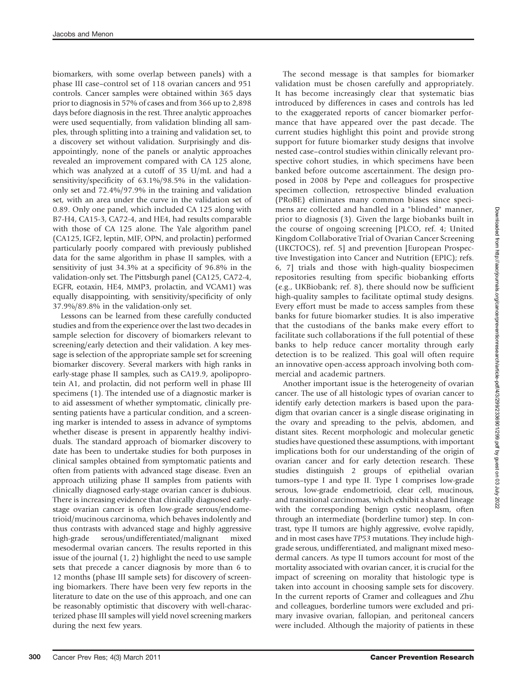biomarkers, with some overlap between panels) with a phase III case–control set of 118 ovarian cancers and 951 controls. Cancer samples were obtained within 365 days prior to diagnosis in 57% of cases and from 366 up to 2,898 days before diagnosis in the rest. Three analytic approaches were used sequentially, from validation blinding all samples, through splitting into a training and validation set, to a discovery set without validation. Surprisingly and disappointingly, none of the panels or analytic approaches revealed an improvement compared with CA 125 alone, which was analyzed at a cutoff of 35 U/mL and had a sensitivity/specificity of 63.1%/98.5% in the validationonly set and 72.4%/97.9% in the training and validation set, with an area under the curve in the validation set of 0.89. Only one panel, which included CA 125 along with B7-H4, CA15-3, CA72-4, and HE4, had results comparable with those of CA 125 alone. The Yale algorithm panel (CA125, IGF2, leptin, MIF, OPN, and prolactin) performed particularly poorly compared with previously published data for the same algorithm in phase II samples, with a sensitivity of just 34.3% at a specificity of 96.8% in the validation-only set. The Pittsburgh panel (CA125, CA72-4, EGFR, eotaxin, HE4, MMP3, prolactin, and VCAM1) was equally disappointing, with sensitivity/specificity of only 37.9%/89.8% in the validation-only set.

Lessons can be learned from these carefully conducted studies and from the experience over the last two decades in sample selection for discovery of biomarkers relevant to screening/early detection and their validation. A key message is selection of the appropriate sample set for screening biomarker discovery. Several markers with high ranks in early-stage phase II samples, such as CA19.9, apolipoprotein A1, and prolactin, did not perform well in phase III specimens (1). The intended use of a diagnostic marker is to aid assessment of whether symptomatic, clinically presenting patients have a particular condition, and a screening marker is intended to assess in advance of symptoms whether disease is present in apparently healthy individuals. The standard approach of biomarker discovery to date has been to undertake studies for both purposes in clinical samples obtained from symptomatic patients and often from patients with advanced stage disease. Even an approach utilizing phase II samples from patients with clinically diagnosed early-stage ovarian cancer is dubious. There is increasing evidence that clinically diagnosed earlystage ovarian cancer is often low-grade serous/endometrioid/mucinous carcinoma, which behaves indolently and thus contrasts with advanced stage and highly aggressive high-grade serous/undifferentiated/malignant mixed mesodermal ovarian cancers. The results reported in this issue of the journal (1, 2) highlight the need to use sample sets that precede a cancer diagnosis by more than 6 to 12 months (phase III sample sets) for discovery of screening biomarkers. There have been very few reports in the literature to date on the use of this approach, and one can be reasonably optimistic that discovery with well-characterized phase III samples will yield novel screening markers during the next few years.

The second message is that samples for biomarker validation must be chosen carefully and appropriately. It has become increasingly clear that systematic bias introduced by differences in cases and controls has led to the exaggerated reports of cancer biomarker performance that have appeared over the past decade. The current studies highlight this point and provide strong support for future biomarker study designs that involve nested case–control studies within clinically relevant prospective cohort studies, in which specimens have been banked before outcome ascertainment. The design proposed in 2008 by Pepe and colleagues for prospective specimen collection, retrospective blinded evaluation (PRoBE) eliminates many common biases since specimens are collected and handled in a "blinded" manner, prior to diagnosis (3). Given the large biobanks built in the course of ongoing screening [PLCO, ref. 4; United Kingdom Collaborative Trial of Ovarian Cancer Screening (UKCTOCS), ref. 5] and prevention [European Prospective Investigation into Cancer and Nutrition (EPIC); refs. 6, 7] trials and those with high-quality biospecimen repositories resulting from specific biobanking efforts (e.g., UKBiobank; ref. 8), there should now be sufficient high-quality samples to facilitate optimal study designs. Every effort must be made to access samples from these banks for future biomarker studies. It is also imperative that the custodians of the banks make every effort to facilitate such collaborations if the full potential of these banks to help reduce cancer mortality through early detection is to be realized. This goal will often require an innovative open-access approach involving both commercial and academic partners.

Another important issue is the heterogeneity of ovarian cancer. The use of all histologic types of ovarian cancer to identify early detection markers is based upon the paradigm that ovarian cancer is a single disease originating in the ovary and spreading to the pelvis, abdomen, and distant sites. Recent morphologic and molecular genetic studies have questioned these assumptions, with important implications both for our understanding of the origin of ovarian cancer and for early detection research. These studies distinguish 2 groups of epithelial ovarian tumors–type I and type II. Type I comprises low-grade serous, low-grade endometrioid, clear cell, mucinous, and transitional carcinomas, which exhibit a shared lineage with the corresponding benign cystic neoplasm, often through an intermediate (borderline tumor) step. In contrast, type II tumors are highly aggressive, evolve rapidly, and in most cases have TP53 mutations. They include highgrade serous, undifferentiated, and malignant mixed mesodermal cancers. As type II tumors account for most of the mortality associated with ovarian cancer, it is crucial for the impact of screening on morality that histologic type is taken into account in choosing sample sets for discovery. In the current reports of Cramer and colleagues and Zhu and colleagues, borderline tumors were excluded and primary invasive ovarian, fallopian, and peritoneal cancers were included. Although the majority of patients in these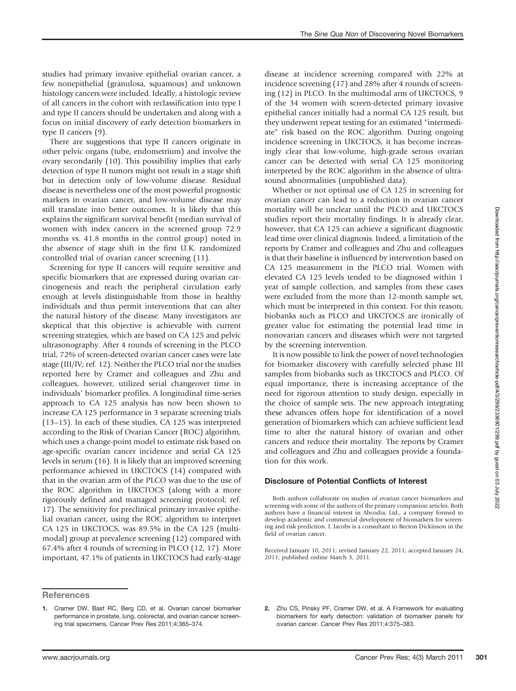studies had primary invasive epithelial ovarian cancer, a few nonepithelial (granulosa, squamous) and unknown histology cancers were included. Ideally, a histologic review of all cancers in the cohort with reclassification into type I and type II cancers should be undertaken and along with a focus on initial discovery of early detection biomarkers in type II cancers (9).

There are suggestions that type II cancers originate in other pelvic organs (tube, endometrium) and involve the ovary secondarily (10). This possibility implies that early detection of type II tumors might not result in a stage shift but in detection only of low-volume disease. Residual disease is nevertheless one of the most powerful prognostic markers in ovarian cancer, and low-volume disease may still translate into better outcomes. It is likely that this explains the significant survival benefit (median survival of women with index cancers in the screened group 72.9 months vs. 41.8 months in the control group) noted in the absence of stage shift in the first U.K. randomized controlled trial of ovarian cancer screening (11).

Screening for type II cancers will require sensitive and specific biomarkers that are expressed during ovarian carcinogenesis and reach the peripheral circulation early enough at levels distinguishable from those in healthy individuals and thus permit interventions that can alter the natural history of the disease. Many investigators are skeptical that this objective is achievable with current screening strategies, which are based on CA 125 and pelvic ultrasonography. After 4 rounds of screening in the PLCO trial, 72% of screen-detected ovarian cancer cases were late stage (III/IV; ref. 12). Neither the PLCO trial nor the studies reported here by Cramer and colleagues and Zhu and colleagues, however, utilized serial changeover time in individuals' biomarker profiles. A longitudinal time-series approach to CA 125 analysis has now been shown to increase CA 125 performance in 3 separate screening trials (13–15). In each of these studies, CA 125 was interpreted according to the Risk of Ovarian Cancer (ROC) algorithm, which uses a change-point model to estimate risk based on age-specific ovarian cancer incidence and serial CA 125 levels in serum (16). It is likely that an improved screening performance achieved in UKCTOCS (14) compared with that in the ovarian arm of the PLCO was due to the use of the ROC algorithm in UKCTOCS (along with a more rigorously defined and managed screening protocol; ref. 17). The sensitivity for preclinical primary invasive epithelial ovarian cancer, using the ROC algorithm to interpret CA 125 in UKCTOCS, was 89.5% in the CA 125 (multimodal) group at prevalence screening (12) compared with 67.4% after 4 rounds of screening in PLCO (12, 17). More important, 47.1% of patients in UKCTOCS had early-stage

disease at incidence screening compared with 22% at incidence screening (17) and 28% after 4 rounds of screening (12) in PLCO. In the multimodal arm of UKCTOCS, 9 of the 34 women with screen-detected primary invasive epithelial cancer initially had a normal CA 125 result, but they underwent repeat testing for an estimated "intermediate" risk based on the ROC algorithm. During ongoing incidence screening in UKCTOCS, it has become increasingly clear that low-volume, high-grade serous ovarian cancer can be detected with serial CA 125 monitoring interpreted by the ROC algorithm in the absence of ultrasound abnormalities (unpublished data).

Whether or not optimal use of CA 125 in screening for ovarian cancer can lead to a reduction in ovarian cancer mortality will be unclear until the PLCO and UKCTOCS studies report their mortality findings. It is already clear, however, that CA 125 can achieve a significant diagnostic lead time over clinical diagnosis. Indeed, a limitation of the reports by Cramer and colleagues and Zhu and colleagues is that their baseline is influenced by intervention based on CA 125 measurement in the PLCO trial. Women with elevated CA 125 levels tended to be diagnosed within 1 year of sample collection, and samples from these cases were excluded from the more than 12-month sample set, which must be interpreted in this context. For this reason, biobanks such as PLCO and UKCTOCS are ironically of greater value for estimating the potential lead time in nonovarian cancers and diseases which were not targeted by the screening intervention.

It is now possible to link the power of novel technologies for biomarker discovery with carefully selected phase III samples from biobanks such as UKCTOCS and PLCO. Of equal importance, there is increasing acceptance of the need for rigorous attention to study design, especially in the choice of sample sets. The new approach integrating these advances offers hope for identification of a novel generation of biomarkers which can achieve sufficient lead time to alter the natural history of ovarian and other cancers and reduce their mortality. The reports by Cramer and colleagues and Zhu and colleagues provide a foundation for this work.

## Disclosure of Potential Conflicts of Interest

Both authors collaborate on studies of ovarian cancer biomarkers and screening with some of the authors of the primary companion articles. Both authors have a financial interest in Abcodia, Ltd., a company formed to develop academic and commercial development of biomarkers for screening and risk prediction. I. Jacobs is a consultant to Becton Dickinson in the field of ovarian cancer.

Received January 10, 2011; revised January 22, 2011; accepted January 24, 2011; published online March 3, 2011.

2. Zhu CS, Pinsky PF, Cramer DW, et al. A Framework for evaluating biomarkers for early detection: validation of biomarker panels for ovarian cancer. Cancer Prev Res 2011;4:375–383.

**References** 

<sup>1.</sup> Cramer DW, Bast RC, Berg CD, et al. Ovarian cancer biomarker performance in prostate, lung, colorectal, and ovarian cancer screening trial specimens. Cancer Prev Res 2011;4:365–374.